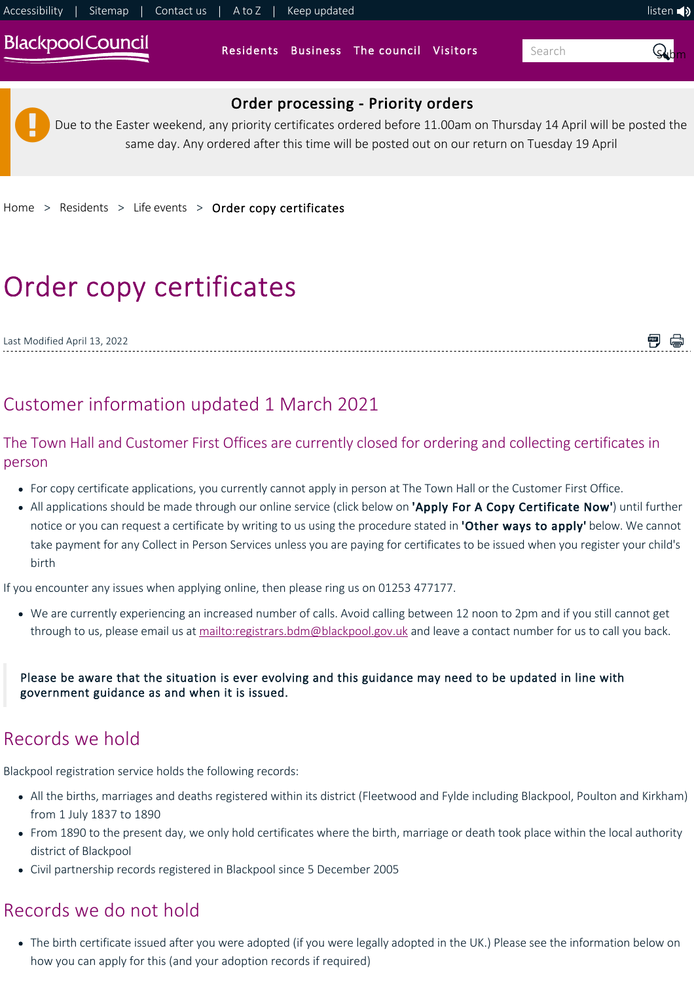

# Order copy certificates

Last Modified April 13, 2022

闸信

# <span id="page-0-0"></span>Customer information updated 1 March 2021

The Town Hall and Customer First Offices are currently closed for ordering and collecting certificates in person

- For copy certificate applications, you currently cannot apply in person at The Town Hall or the Customer First Office.
- All applications should be made through our online service (click below on 'Apply For A Copy Certificate Now') until further notice or you can request a certificate by writing to us using the procedure stated in 'Other ways to apply' below. We cannot take payment for any Collect in Person Services unless you are paying for certificates to be issued when you register your child's birth

If you encounter any issues when applying online, then please ring us on 01253 477177.

We are currently experiencing an increased number of calls. Avoid calling between 12 noon to 2pm and if you still cannot get through to us, please email us at <mailto:registrars.bdm@blackpool.gov.uk>and leave a contact number for us to call you back.

#### Please be aware that the situation is ever evolving and this guidance may need to be updated in line with government guidance as and when it is issued.

### Records we hold

Blackpool registration service holds the following records:

- All the births, marriages and deaths registered within its district (Fleetwood and Fylde including Blackpool, Poulton and Kirkham) from 1 July 1837 to 1890
- From 1890 to the present day, we only hold certificates where the birth, marriage or death took place within the local authority district of Blackpool
- Civil partnership records registered in Blackpool since 5 December 2005

# Records we do not hold

The birth certificate issued after you were adopted (if you were legally adopted in the UK.) Please see the information below on how you can apply for this (and your adoption records if required)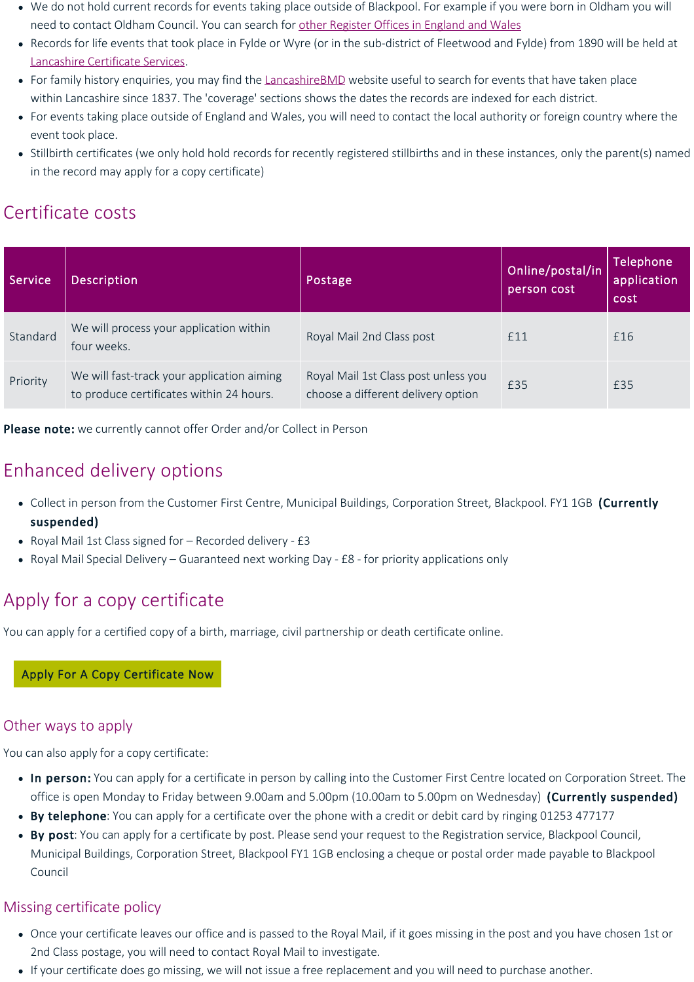- We do not hold current records for events taking place outside of Blackpool. For example if you were born in Oldham you will need to contact Oldham Council. You can search for [other Register Offices in England and Wales](https://www.gov.uk/register-offices)
- Records for life events that took place in Fylde or Wyre (or in the sub‐district of Fleetwood and Fylde) from 1890 will be held at [Lancashire Certificate Services.](https://lccsecure.lancashire.gov.uk/online/services/certificate/#Lancashire%20Certificate%20Services)
- For family history enquiries, you may find the [LancashireBMD](http://www.lancashirebmd.org.uk/index.php) website useful to search for events that have taken place within Lancashire since 1837. The 'coverage' sections shows the dates the records are indexed for each district.
- For events taking place outside of England and Wales, you will need to contact the local authority or foreign country where the event took place.
- Stillbirth certificates (we only hold hold records for recently registered stillbirths and in these instances, only the parent(s) named in the record may apply for a copy certificate)

### Certificate costs

| Service  | <b>Description</b>                                                                     | Postage                                                                    | Online/postal/in<br>person cost | <b>Telephone</b><br>application<br>cost |
|----------|----------------------------------------------------------------------------------------|----------------------------------------------------------------------------|---------------------------------|-----------------------------------------|
| Standard | We will process your application within<br>four weeks.                                 | Royal Mail 2nd Class post                                                  | £11                             | £16                                     |
| Priority | We will fast-track your application aiming<br>to produce certificates within 24 hours. | Royal Mail 1st Class post unless you<br>choose a different delivery option | £35                             | £35                                     |

Please note: we currently cannot offer Order and/or Collect in Person

## Enhanced delivery options

- Collect in person from the Customer First Centre, Municipal Buildings, Corporation Street, Blackpool. FY1 1GB (Currently suspended)
- Royal Mail 1st Class signed for Recorded delivery £3
- Royal Mail Special Delivery Guaranteed next working Day ‐ £8 ‐ for priority applications only

### Apply for a copy certificate

You can apply for a certified copy of a birth, marriage, civil partnership or death certificate online.

Apply For A Copy Certificate Now

#### Other ways to apply

You can also apply for a copy certificate:

- In person: You can apply for a certificate in person by calling into the Customer First Centre located on Corporation Street. The office is open Monday to Friday between 9.00am and 5.00pm (10.00am to 5.00pm on Wednesday) (Currently suspended)
- By telephone: You can apply for a certificate over the phone with a credit or debit card by ringing 01253 477177
- By post: You can apply for a certificate by post. Please send your request to the Registration service, Blackpool Council, Municipal Buildings, Corporation Street, Blackpool FY1 1GB enclosing a cheque or postal order made payable to Blackpool Council

#### Missing certificate policy

- Once your certificate leaves our office and is passed to the Royal Mail, if it goes missing in the post and you have chosen 1st or 2nd Class postage, you will need to contact Royal Mail to investigate.
- If your certificate does go missing, we will not issue a free replacement and you will need to purchase another.